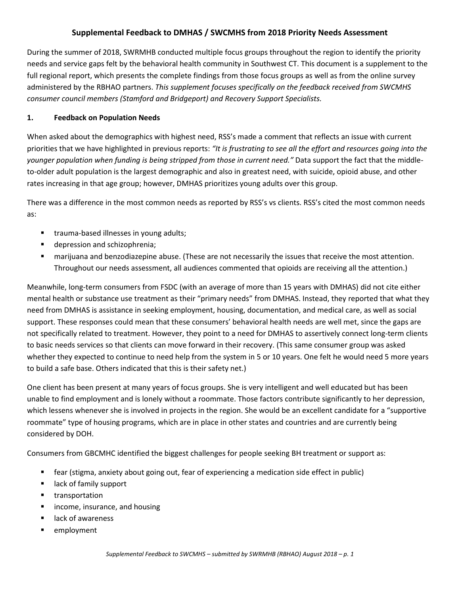# **Supplemental Feedback to DMHAS / SWCMHS from 2018 Priority Needs Assessment**

During the summer of 2018, SWRMHB conducted multiple focus groups throughout the region to identify the priority needs and service gaps felt by the behavioral health community in Southwest CT. This document is a supplement to the full regional report, which presents the complete findings from those focus groups as well as from the online survey administered by the RBHAO partners. *This supplement focuses specifically on the feedback received from SWCMHS consumer council members (Stamford and Bridgeport) and Recovery Support Specialists.*

### **1. Feedback on Population Needs**

When asked about the demographics with highest need, RSS's made a comment that reflects an issue with current priorities that we have highlighted in previous reports: *"It is frustrating to see all the effort and resources going into the younger population when funding is being stripped from those in current need."* Data support the fact that the middleto-older adult population is the largest demographic and also in greatest need, with suicide, opioid abuse, and other rates increasing in that age group; however, DMHAS prioritizes young adults over this group.

There was a difference in the most common needs as reported by RSS's vs clients. RSS's cited the most common needs as:

- **trauma-based illnesses in young adults;**
- **depression and schizophrenia;**
- marijuana and benzodiazepine abuse. (These are not necessarily the issues that receive the most attention. Throughout our needs assessment, all audiences commented that opioids are receiving all the attention.)

Meanwhile, long-term consumers from FSDC (with an average of more than 15 years with DMHAS) did not cite either mental health or substance use treatment as their "primary needs" from DMHAS. Instead, they reported that what they need from DMHAS is assistance in seeking employment, housing, documentation, and medical care, as well as social support. These responses could mean that these consumers' behavioral health needs are well met, since the gaps are not specifically related to treatment. However, they point to a need for DMHAS to assertively connect long-term clients to basic needs services so that clients can move forward in their recovery. (This same consumer group was asked whether they expected to continue to need help from the system in 5 or 10 years. One felt he would need 5 more years to build a safe base. Others indicated that this is their safety net.)

One client has been present at many years of focus groups. She is very intelligent and well educated but has been unable to find employment and is lonely without a roommate. Those factors contribute significantly to her depression, which lessens whenever she is involved in projects in the region. She would be an excellent candidate for a "supportive roommate" type of housing programs, which are in place in other states and countries and are currently being considered by DOH.

Consumers from GBCMHC identified the biggest challenges for people seeking BH treatment or support as:

- fear (stigma, anxiety about going out, fear of experiencing a medication side effect in public)
- **E** lack of family support
- **u** transportation
- income, insurance, and housing
- lack of awareness
- **EXECUTE:**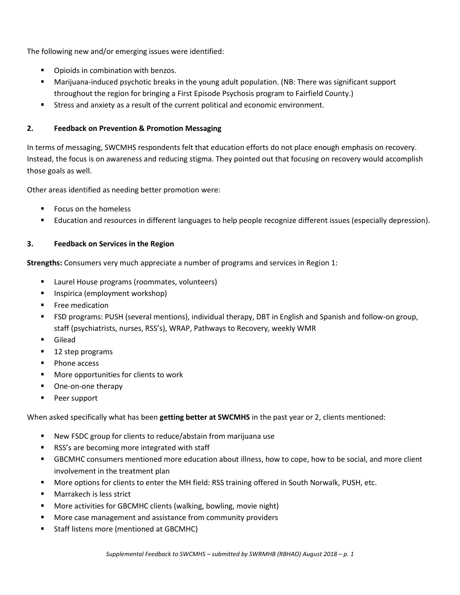The following new and/or emerging issues were identified:

- **•** Opioids in combination with benzos.
- Marijuana-induced psychotic breaks in the young adult population. (NB: There was significant support throughout the region for bringing a First Episode Psychosis program to Fairfield County.)
- Stress and anxiety as a result of the current political and economic environment.

## **2. Feedback on Prevention & Promotion Messaging**

In terms of messaging, SWCMHS respondents felt that education efforts do not place enough emphasis on recovery. Instead, the focus is on awareness and reducing stigma. They pointed out that focusing on recovery would accomplish those goals as well.

Other areas identified as needing better promotion were:

- Focus on the homeless
- Education and resources in different languages to help people recognize different issues (especially depression).

## **3. Feedback on Services in the Region**

**Strengths:** Consumers very much appreciate a number of programs and services in Region 1:

- Laurel House programs (roommates, volunteers)
- Inspirica (employment workshop)
- **Free medication**
- FSD programs: PUSH (several mentions), individual therapy, DBT in English and Spanish and follow-on group, staff (psychiatrists, nurses, RSS's), WRAP, Pathways to Recovery, weekly WMR
- Gilead
- 12 step programs
- Phone access
- **More opportunities for clients to work**
- One-on-one therapy
- Peer support

When asked specifically what has been **getting better at SWCMHS** in the past year or 2, clients mentioned:

- New FSDC group for clients to reduce/abstain from marijuana use
- RSS's are becoming more integrated with staff
- GBCMHC consumers mentioned more education about illness, how to cope, how to be social, and more client involvement in the treatment plan
- More options for clients to enter the MH field: RSS training offered in South Norwalk, PUSH, etc.
- Marrakech is less strict
- More activities for GBCMHC clients (walking, bowling, movie night)
- More case management and assistance from community providers
- **Staff listens more (mentioned at GBCMHC)**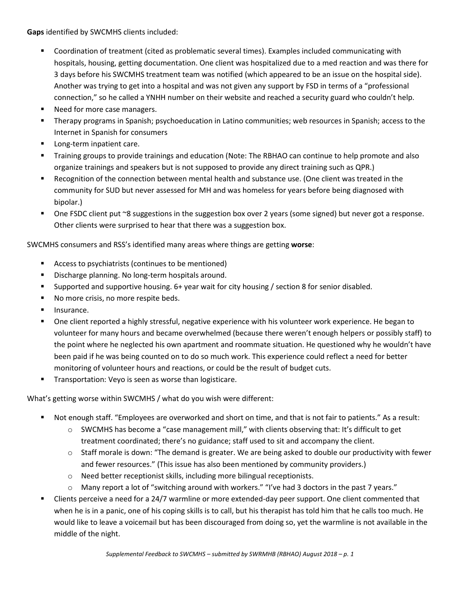**Gaps** identified by SWCMHS clients included:

- Coordination of treatment (cited as problematic several times). Examples included communicating with hospitals, housing, getting documentation. One client was hospitalized due to a med reaction and was there for 3 days before his SWCMHS treatment team was notified (which appeared to be an issue on the hospital side). Another was trying to get into a hospital and was not given any support by FSD in terms of a "professional connection," so he called a YNHH number on their website and reached a security guard who couldn't help.
- **Need for more case managers.**
- Therapy programs in Spanish; psychoeducation in Latino communities; web resources in Spanish; access to the Internet in Spanish for consumers
- **Long-term inpatient care.**
- **Training groups to provide trainings and education (Note: The RBHAO can continue to help promote and also** organize trainings and speakers but is not supposed to provide any direct training such as QPR.)
- Recognition of the connection between mental health and substance use. (One client was treated in the community for SUD but never assessed for MH and was homeless for years before being diagnosed with bipolar.)
- One FSDC client put ~8 suggestions in the suggestion box over 2 years (some signed) but never got a response. Other clients were surprised to hear that there was a suggestion box.

SWCMHS consumers and RSS's identified many areas where things are getting **worse**:

- Access to psychiatrists (continues to be mentioned)
- Discharge planning. No long-term hospitals around.
- Supported and supportive housing. 6+ year wait for city housing / section 8 for senior disabled.
- No more crisis, no more respite beds.
- Insurance.
- One client reported a highly stressful, negative experience with his volunteer work experience. He began to volunteer for many hours and became overwhelmed (because there weren't enough helpers or possibly staff) to the point where he neglected his own apartment and roommate situation. He questioned why he wouldn't have been paid if he was being counted on to do so much work. This experience could reflect a need for better monitoring of volunteer hours and reactions, or could be the result of budget cuts.
- **Transportation: Veyo is seen as worse than logisticare.**

What's getting worse within SWCMHS / what do you wish were different:

- Not enough staff. "Employees are overworked and short on time, and that is not fair to patients." As a result:
	- o SWCMHS has become a "case management mill," with clients observing that: It's difficult to get treatment coordinated; there's no guidance; staff used to sit and accompany the client.
	- $\circ$  Staff morale is down: "The demand is greater. We are being asked to double our productivity with fewer and fewer resources." (This issue has also been mentioned by community providers.)
	- o Need better receptionist skills, including more bilingual receptionists.
	- o Many report a lot of "switching around with workers." "I've had 3 doctors in the past 7 years."
- Clients perceive a need for a 24/7 warmline or more extended-day peer support. One client commented that when he is in a panic, one of his coping skills is to call, but his therapist has told him that he calls too much. He would like to leave a voicemail but has been discouraged from doing so, yet the warmline is not available in the middle of the night.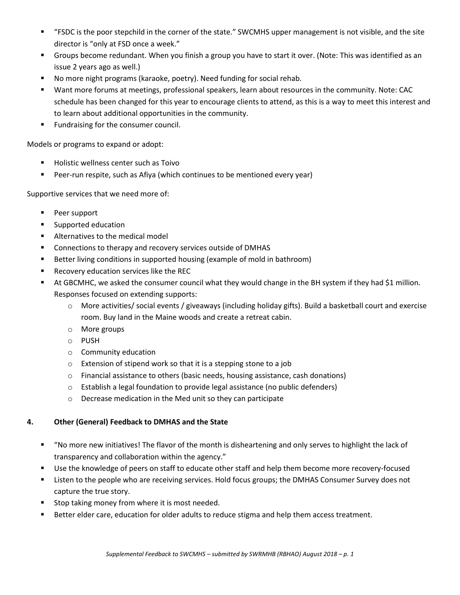- "FSDC is the poor stepchild in the corner of the state." SWCMHS upper management is not visible, and the site director is "only at FSD once a week."
- Groups become redundant. When you finish a group you have to start it over. (Note: This was identified as an issue 2 years ago as well.)
- No more night programs (karaoke, poetry). Need funding for social rehab.
- Want more forums at meetings, professional speakers, learn about resources in the community. Note: CAC schedule has been changed for this year to encourage clients to attend, as this is a way to meet this interest and to learn about additional opportunities in the community.
- **Fundraising for the consumer council.**

Models or programs to expand or adopt:

- Holistic wellness center such as Toivo
- Peer-run respite, such as Afiya (which continues to be mentioned every year)

Supportive services that we need more of:

- **Peer support**
- Supported education
- **Alternatives to the medical model**
- **Connections to therapy and recovery services outside of DMHAS**
- Better living conditions in supported housing (example of mold in bathroom)
- Recovery education services like the REC
- At GBCMHC, we asked the consumer council what they would change in the BH system if they had \$1 million. Responses focused on extending supports:
	- o More activities/ social events / giveaways (including holiday gifts). Build a basketball court and exercise room. Buy land in the Maine woods and create a retreat cabin.
	- o More groups
	- o PUSH
	- o Community education
	- o Extension of stipend work so that it is a stepping stone to a job
	- o Financial assistance to others (basic needs, housing assistance, cash donations)
	- o Establish a legal foundation to provide legal assistance (no public defenders)
	- o Decrease medication in the Med unit so they can participate

## **4. Other (General) Feedback to DMHAS and the State**

- "No more new initiatives! The flavor of the month is disheartening and only serves to highlight the lack of transparency and collaboration within the agency."
- Use the knowledge of peers on staff to educate other staff and help them become more recovery-focused
- Listen to the people who are receiving services. Hold focus groups; the DMHAS Consumer Survey does not capture the true story.
- Stop taking money from where it is most needed.
- Better elder care, education for older adults to reduce stigma and help them access treatment.